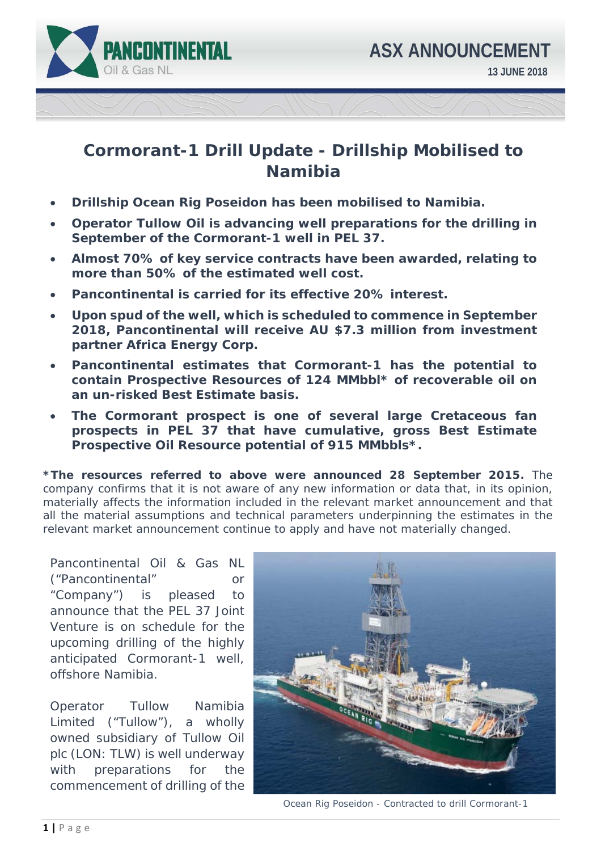

## **Cormorant-1 Drill Update - Drillship Mobilised to Namibia**

- **Drillship Ocean Rig Poseidon has been mobilised to Namibia.**
- **Operator Tullow Oil is advancing well preparations for the drilling in September of the Cormorant-1 well in PEL 37.**
- **Almost 70% of key service contracts have been awarded, relating to more than 50% of the estimated well cost.**
- **Pancontinental is carried for its effective 20% interest.**
- **Upon spud of the well, which is scheduled to commence in September 2018, Pancontinental will receive AU \$7.3 million from investment partner Africa Energy Corp.**
- **Pancontinental estimates that Cormorant-1 has the potential to contain Prospective Resources of 124 MMbbl\* of recoverable oil on an un-risked Best Estimate basis.**
- **The Cormorant prospect is one of several large Cretaceous fan prospects in PEL 37 that have cumulative, gross Best Estimate Prospective Oil Resource potential of 915 MMbbls\*.**

**\*The resources referred to above were announced 28 September 2015.** The company confirms that it is not aware of any new information or data that, in its opinion, materially affects the information included in the relevant market announcement and that all the material assumptions and technical parameters underpinning the estimates in the relevant market announcement continue to apply and have not materially changed.

Pancontinental Oil & Gas NL ("Pancontinental" or "Company") is pleased to announce that the PEL 37 Joint Venture is on schedule for the upcoming drilling of the highly anticipated Cormorant-1 well, offshore Namibia.

Operator Tullow Namibia Limited ("Tullow"), a wholly owned subsidiary of Tullow Oil plc (LON: TLW) is well underway with preparations for the commencement of drilling of the



Ocean Rig Poseidon - Contracted to drill Cormorant-1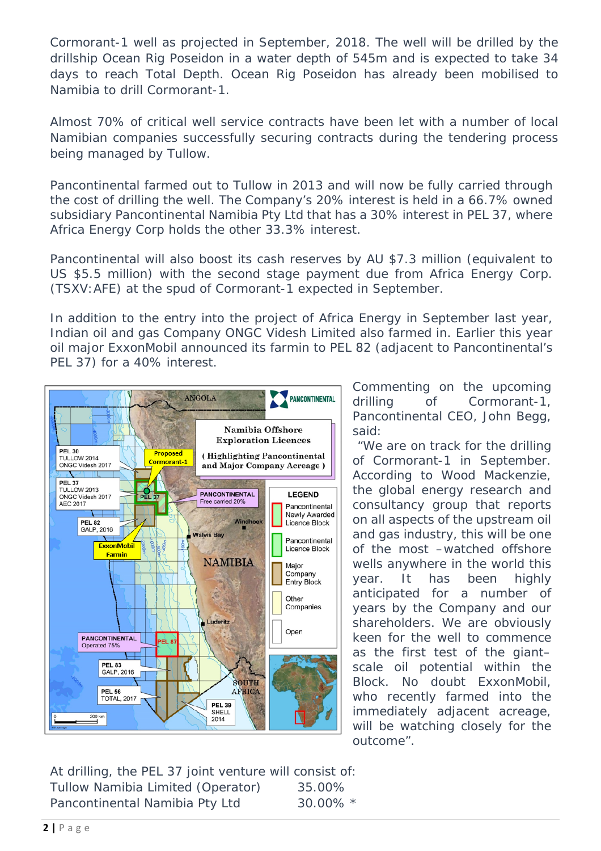Cormorant-1 well as projected in September, 2018. The well will be drilled by the drillship Ocean Rig Poseidon in a water depth of 545m and is expected to take 34 days to reach Total Depth. Ocean Rig Poseidon has already been mobilised to Namibia to drill Cormorant-1.

Almost 70% of critical well service contracts have been let with a number of local Namibian companies successfully securing contracts during the tendering process being managed by Tullow.

Pancontinental farmed out to Tullow in 2013 and will now be fully carried through the cost of drilling the well. The Company's 20% interest is held in a 66.7% owned subsidiary Pancontinental Namibia Pty Ltd that has a 30% interest in PEL 37, where Africa Energy Corp holds the other 33.3% interest.

Pancontinental will also boost its cash reserves by AU \$7.3 million (equivalent to US \$5.5 million) with the second stage payment due from Africa Energy Corp. (TSXV:AFE) at the spud of Cormorant-1 expected in September.

In addition to the entry into the project of Africa Energy in September last year, Indian oil and gas Company ONGC Videsh Limited also farmed in. Earlier this year oil major ExxonMobil announced its farmin to PEL 82 (adjacent to Pancontinental's PEL 37) for a 40% interest.



Commenting on the upcoming drilling of Cormorant-1, Pancontinental CEO, John Begg, said:

*"We are on track for the drilling of Cormorant-1 in September. According to Wood Mackenzie, the global energy research and consultancy group that reports on all aspects of the upstream oil and gas industry, this will be one of the most –watched offshore wells anywhere in the world this year. It has been highly anticipated for a number of years by the Company and our shareholders. We are obviously keen for the well to commence as the first test of the giant– scale oil potential within the Block. No doubt ExxonMobil, who recently farmed into the immediately adjacent acreage, will be watching closely for the outcome".* 

At drilling, the PEL 37 joint venture will consist of: Tullow Namibia Limited (Operator) 35.00% Pancontinental Namibia Pty Ltd 30.00% \*